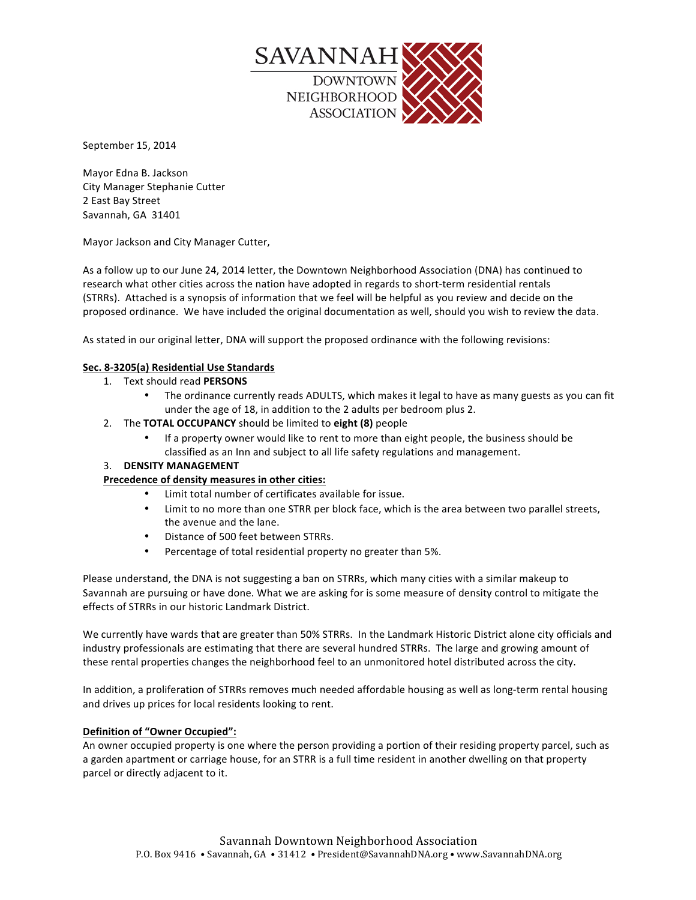

September 15, 2014

Mayor Edna B. Jackson City Manager Stephanie Cutter 2 East Bay Street Savannah, GA 31401

Mayor Jackson and City Manager Cutter,

As a follow up to our June 24, 2014 letter, the Downtown Neighborhood Association (DNA) has continued to research what other cities across the nation have adopted in regards to short-term residential rentals (STRRs). Attached is a synopsis of information that we feel will be helpful as you review and decide on the proposed ordinance. We have included the original documentation as well, should you wish to review the data.

As stated in our original letter, DNA will support the proposed ordinance with the following revisions:

# **Sec. 8-3205(a) Residential Use Standards**

- 1. Text should read PERSONS
	- The ordinance currently reads ADULTS, which makes it legal to have as many guests as you can fit under the age of 18, in addition to the 2 adults per bedroom plus 2.
- 2. The TOTAL OCCUPANCY should be limited to eight (8) people
	- If a property owner would like to rent to more than eight people, the business should be classified as an Inn and subject to all life safety regulations and management.

# **3. DENSITY MANAGEMENT**

# Precedence of density measures in other cities:

- Limit total number of certificates available for issue.
- Limit to no more than one STRR per block face, which is the area between two parallel streets, the avenue and the lane.
- Distance of 500 feet between STRRs.
- Percentage of total residential property no greater than 5%.

Please understand, the DNA is not suggesting a ban on STRRs, which many cities with a similar makeup to Savannah are pursuing or have done. What we are asking for is some measure of density control to mitigate the effects of STRRs in our historic Landmark District.

We currently have wards that are greater than 50% STRRs. In the Landmark Historic District alone city officials and industry professionals are estimating that there are several hundred STRRs. The large and growing amount of these rental properties changes the neighborhood feel to an unmonitored hotel distributed across the city.

In addition, a proliferation of STRRs removes much needed affordable housing as well as long-term rental housing and drives up prices for local residents looking to rent.

# **Definition of "Owner Occupied":**

An owner occupied property is one where the person providing a portion of their residing property parcel, such as a garden apartment or carriage house, for an STRR is a full time resident in another dwelling on that property parcel or directly adjacent to it.